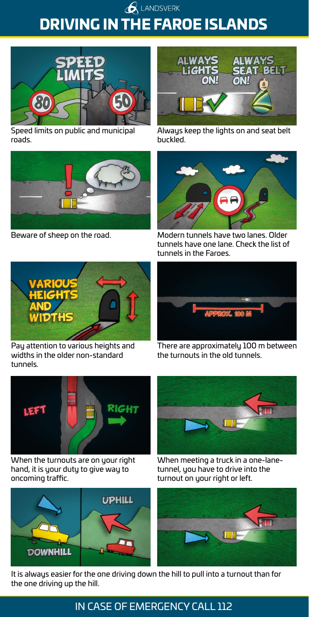**ALANDSVERK** DRIVING IN THE FAROE ISLANDS



Speed limits on public and municipal roads.



Beware of sheep on the road.



Always keep the lights on and seat belt buckled.



Modern tunnels have two lanes. Older tunnels have one lane. Check the list of tunnels in the Faroes.



Pay attention to various heights and widths in the older non-standard tunnels.



There are approximately 100 m between the turnouts in the old tunnels.



When the turnouts are on your right hand, it is your duty to give way to oncoming traffic.





When meeting a truck in a one-lanetunnel, you have to drive into the turnout on your right or left.



It is always easier for the one driving down the hill to pull into a turnout than for the one driving up the hill.

## IN CASE OF EMERGENCY CALL 112